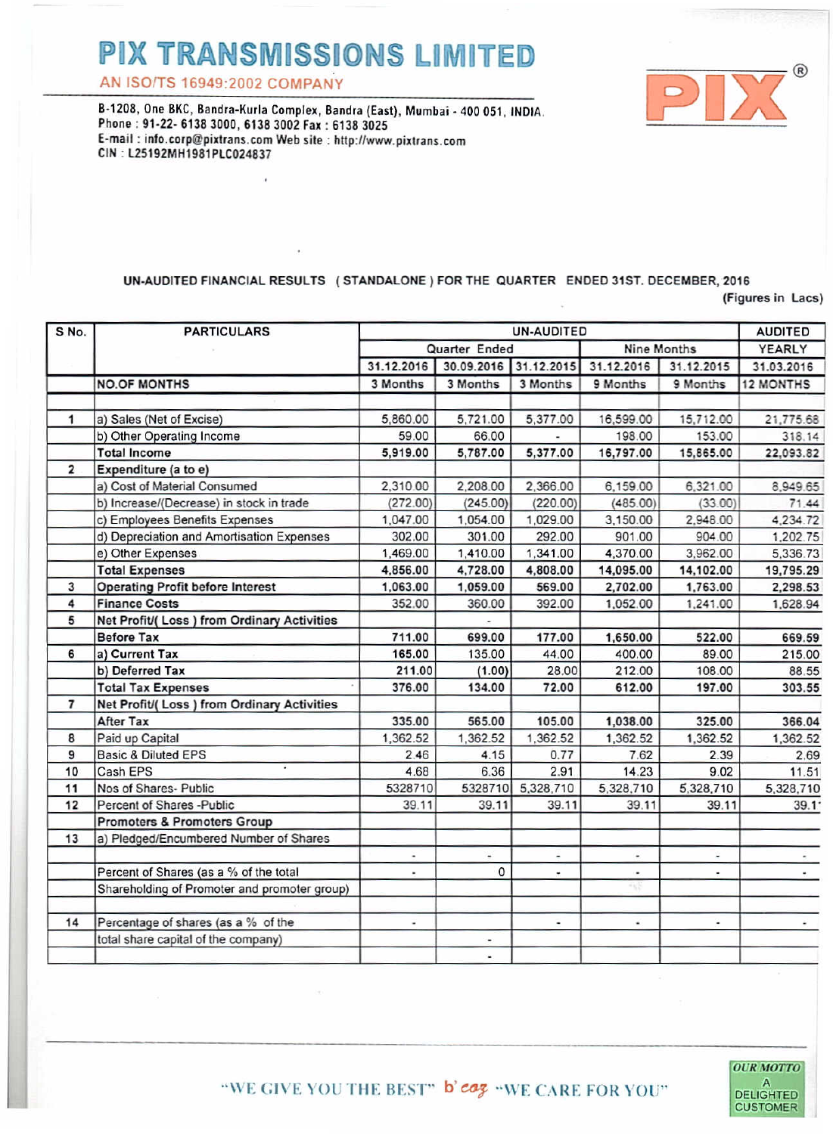## **PIX TRANSMISSIONS LIMITED**

AN ISO/TS 16949-2002 COMPANY

B-1208. One BKC, Bandra-Kurla Complex, Bandra (East), Mumbai - 400 051, INDIA. Phone: 91-22- 6138 3000. 6138 3002 Fax: 6138 3025 E-mail: info.corp@pixtrans.com Web site: http://www.pixtrans.com CIN: L25192MH1981PLC024837

## UN-AUDITED FINANCIAL RESULTS (STANDALONE) FOR THE QUARTER ENDED 31ST, DECEMBER, 2016

(Figures in Lacs)

| S No.          | <b>PARTICULARS</b>                           | UN-AUDITED                                              |                          |                      |                          |                | <b>AUDITED</b>   |
|----------------|----------------------------------------------|---------------------------------------------------------|--------------------------|----------------------|--------------------------|----------------|------------------|
|                |                                              | <b>Nine Months</b>                                      |                          |                      |                          |                | YEARLY           |
|                |                                              | Quarter Ended<br>31.12.2016<br>30.09.2016<br>31.12.2015 |                          |                      | 31.12.2016<br>31.12.2015 |                | 31.03.2016       |
|                |                                              |                                                         |                          |                      |                          |                |                  |
|                | <b>NO.OF MONTHS</b>                          | 3 Months                                                | 3 Months                 | 3 Months             | 9 Months                 | 9 Months       | <b>12 MONTHS</b> |
|                |                                              |                                                         |                          |                      |                          |                |                  |
| 1              | a) Sales (Net of Excise)                     | 5,860.00                                                | 5,721.00                 | 5,377.00             | 16,599.00                | 15,712.00      | 21,775.68        |
|                | b) Other Operating Income                    | 59.00                                                   | 66.00                    |                      | 198.00                   | 153.00         | 318.14           |
|                | <b>Total Income</b>                          | 5,919.00                                                | 5,787.00                 | 5,377.00             | 16,797.00                | 15,865.00      | 22.093.82        |
| $\overline{2}$ | Expenditure (a to e)                         |                                                         |                          |                      |                          |                |                  |
|                | a) Cost of Material Consumed                 | 2,310.00                                                | 2,208.00                 | 2,366.00             | 6,159.00                 | 6,321.00       | 8,949.65         |
|                | b) Increase/(Decrease) in stock in trade     | (272.00)                                                | (245.00)                 | (220.00)             | (485.00)                 | (33.00)        | 71.44            |
|                | c) Employees Benefits Expenses               | 1,047.00                                                | 1,054.00                 | 1,029.00             | 3,150.00                 | 2,948.00       | 4,234.72         |
|                | d) Depreciation and Amortisation Expenses    | 302.00                                                  | 301.00                   | 292.00               | 901.00                   | 904.00         | 1,202.75         |
|                | e) Other Expenses                            | 1,469.00                                                | 1,410.00                 | 1,341.00             | 4,370.00                 | 3.962.00       | 5,336.73         |
|                | <b>Total Expenses</b>                        | 4,856.00                                                | 4,728.00                 | 4,808.00             | 14,095.00                | 14,102.00      | 19,795.29        |
| 3              | <b>Operating Profit before Interest</b>      | 1,063.00                                                | 1,059.00                 | 569.00               | 2,702.00                 | 1,763.00       | 2,298.53         |
| 4              | <b>Finance Costs</b>                         | 352.00                                                  | 360.00                   | 392.00               | 1,052.00                 | 1,241.00       | 1,628.94         |
| 5              | Net Profit/(Loss) from Ordinary Activities   |                                                         |                          |                      |                          |                |                  |
|                | <b>Before Tax</b>                            | 711.00                                                  | 699.00                   | 177.00               | 1.650.00                 | 522.00         | 669.59           |
| 6              | a) Current Tax                               | 165.00                                                  | 135.00                   | 44.00                | 400.00                   | 89.00          | 215.00           |
|                | b) Deferred Tax                              | 211.00                                                  | (1.00)                   | 28.00                | 212.00                   | 108.00         | 88.55            |
|                | <b>Total Tax Expenses</b>                    | 376.00                                                  | 134.00                   | 72.00                | 612.00                   | 197.00         | 303.55           |
| $\overline{7}$ | Net Profit/( Loss ) from Ordinary Activities |                                                         |                          |                      |                          |                |                  |
|                | <b>After Tax</b>                             | 335.00                                                  | 565.00                   | 105.00               | 1.038.00                 | 325.00         | 366.04           |
| 8              | Paid up Capital                              | 1,362.52                                                | 1,362.52                 | 1,362.52             | 1,362.52                 | 1,362.52       | 1.362.52         |
| 9              | <b>Basic &amp; Diluted EPS</b>               | 2.46                                                    | 4.15                     | 0.77                 | 7.62                     | 2.39           | 2.69             |
| 10             | Cash EPS                                     | 4.68                                                    | 6.36                     | 2.91                 | 14.23                    | 9.02           | 11.51            |
| 11             | Nos of Shares- Public                        | 5328710                                                 | 5328710                  | 5,328,710            | 5.328.710                | 5,328,710      | 5,328,710        |
| 12             | Percent of Shares -Public                    | 39.11                                                   | 39.11                    | 39.11                | 39.11                    | 39.11          | 39.1             |
|                | <b>Promoters &amp; Promoters Group</b>       |                                                         |                          |                      |                          |                |                  |
| 13             | a) Pledged/Encumbered Number of Shares       |                                                         |                          |                      |                          |                |                  |
|                |                                              | ÷                                                       | $\overline{\phantom{a}}$ | ×                    | ٠                        | ä,             |                  |
|                | Percent of Shares (as a % of the total       | ×,                                                      | $\Omega$                 | $\ddot{\phantom{1}}$ | ٠                        | $\overline{a}$ |                  |
|                | Shareholding of Promoter and promoter group) |                                                         |                          |                      |                          |                |                  |
|                |                                              |                                                         |                          |                      |                          |                |                  |
| 14             | Percentage of shares (as a % of the          | ٠                                                       |                          |                      |                          | ä,             |                  |
|                | total share capital of the company)          |                                                         |                          |                      |                          |                |                  |
|                |                                              |                                                         | ä,                       |                      |                          |                |                  |
|                |                                              |                                                         |                          |                      |                          |                |                  |